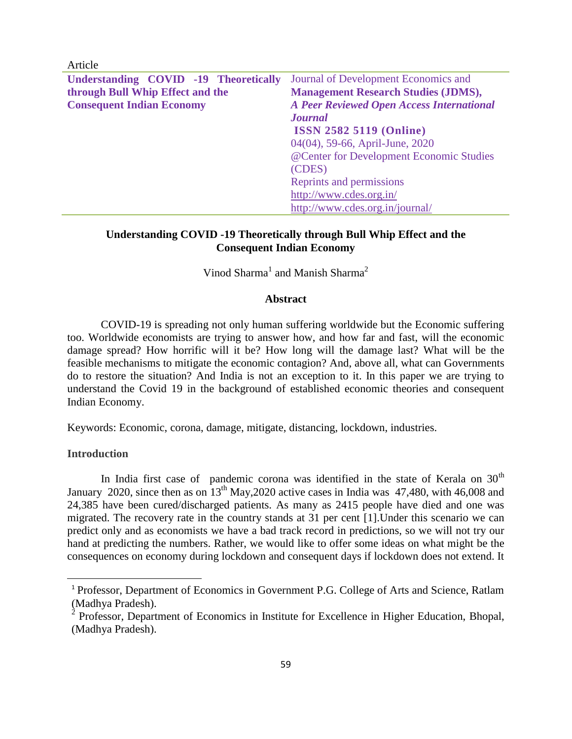| Article                               |                                                  |
|---------------------------------------|--------------------------------------------------|
| Understanding COVID -19 Theoretically | Journal of Development Economics and             |
| through Bull Whip Effect and the      | <b>Management Research Studies (JDMS),</b>       |
| <b>Consequent Indian Economy</b>      | <b>A Peer Reviewed Open Access International</b> |
|                                       | <b>Journal</b>                                   |
|                                       | <b>ISSN 2582 5119 (Online)</b>                   |
|                                       | 04(04), 59-66, April-June, 2020                  |
|                                       | @Center for Development Economic Studies         |
|                                       | (CDES)                                           |
|                                       | Reprints and permissions                         |
|                                       | http://www.cdes.org.in/                          |
|                                       | http://www.cdes.org.in/journal/                  |

# **Understanding COVID -19 Theoretically through Bull Whip Effect and the Consequent Indian Economy**

Vinod Sharma<sup>1</sup> and Manish Sharma<sup>2</sup>

## **Abstract**

COVID-19 is spreading not only human suffering worldwide but the Economic suffering too. Worldwide economists are trying to answer how, and how far and fast, will the economic damage spread? How horrific will it be? How long will the damage last? What will be the feasible mechanisms to mitigate the economic contagion? And, above all, what can Governments do to restore the situation? And India is not an exception to it. In this paper we are trying to understand the Covid 19 in the background of established economic theories and consequent Indian Economy.

Keywords: Economic, corona, damage, mitigate, distancing, lockdown, industries.

## **Introduction**

 $\overline{\phantom{a}}$ 

In India first case of pandemic corona was identified in the state of Kerala on  $30<sup>th</sup>$ January 2020, since then as on  $13<sup>th</sup>$  May, 2020 active cases in India was 47,480, with 46,008 and 24,385 have been cured/discharged patients. As many as 2415 people have died and one was migrated. The recovery rate in the country stands at 31 per cent [1].Under this scenario we can predict only and as economists we have a bad track record in predictions, so we will not try our hand at predicting the numbers. Rather, we would like to offer some ideas on what might be the consequences on economy during lockdown and consequent days if lockdown does not extend. It

<sup>&</sup>lt;sup>1</sup> Professor, Department of Economics in Government P.G. College of Arts and Science, Ratlam (Madhya Pradesh).

 $2^{2}$  Professor, Department of Economics in Institute for Excellence in Higher Education, Bhopal, (Madhya Pradesh).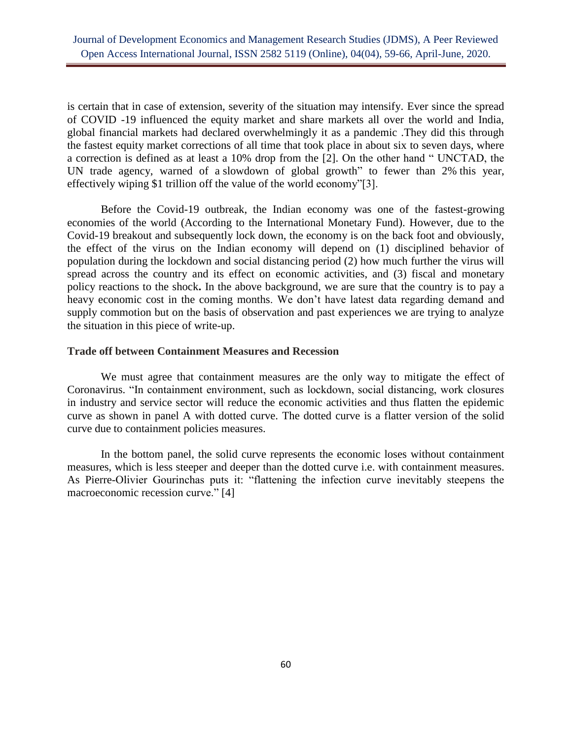is certain that in case of extension, severity of the situation may intensify. Ever since the spread of COVID -19 influenced the equity market and share markets all over the world and India, global financial markets had declared overwhelmingly it as a pandemic .They did this through the fastest equity market corrections of all time that took place in about six to seven days, where a correction is defined as at least a 10% drop from the [2]. On the other hand " UNCTAD, the UN trade agency, warned of a slowdown of global growth" to fewer than 2% this year, effectively wiping \$1 trillion off the value of the world economy"[3].

Before the Covid-19 outbreak, the Indian economy was one of the fastest-growing economies of the world (According to the International Monetary Fund). However, due to the Covid-19 breakout and subsequently lock down, the economy is on the back foot and obviously, the effect of the virus on the Indian economy will depend on (1) disciplined behavior of population during the lockdown and social distancing period (2) how much further the virus will spread across the country and its effect on economic activities, and (3) fiscal and monetary policy reactions to the shock**.** In the above background, we are sure that the country is to pay a heavy economic cost in the coming months. We don't have latest data regarding demand and supply commotion but on the basis of observation and past experiences we are trying to analyze the situation in this piece of write-up.

# **Trade off between Containment Measures and Recession**

We must agree that containment measures are the only way to mitigate the effect of Coronavirus. "In containment environment, such as lockdown, social distancing, work closures in industry and service sector will reduce the economic activities and thus flatten the epidemic curve as shown in panel A with dotted curve. The dotted curve is a flatter version of the solid curve due to containment policies measures.

In the bottom panel, the solid curve represents the economic loses without containment measures, which is less steeper and deeper than the dotted curve i.e. with containment measures. As Pierre-Olivier Gourinchas puts it: "flattening the infection curve inevitably steepens the macroeconomic recession curve." [4]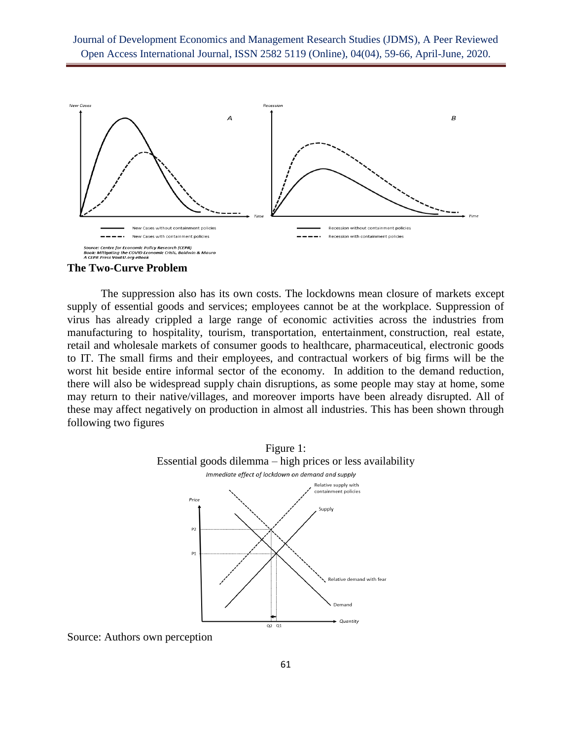Journal of Development Economics and Management Research Studies (JDMS), A Peer Reviewed Open Access International Journal, ISSN 2582 5119 (Online), 04(04), 59-66, April-June, 2020.



#### **The Two-Curve Problem**

The suppression also has its own costs. The lockdowns mean closure of markets except supply of essential goods and services; employees cannot be at the workplace. Suppression of virus has already crippled a large range of economic activities across the industries from manufacturing to hospitality, tourism, transportation, entertainment, construction, real estate, retail and wholesale markets of consumer goods to healthcare, pharmaceutical, electronic goods to IT. The small firms and their employees, and contractual workers of big firms will be the worst hit beside entire informal sector of the economy. In addition to the demand reduction, there will also be widespread supply chain disruptions, as some people may stay at home, some may return to their native/villages, and moreover imports have been already disrupted. All of these may affect negatively on production in almost all industries. This has been shown through following two figures



Source: Authors own perception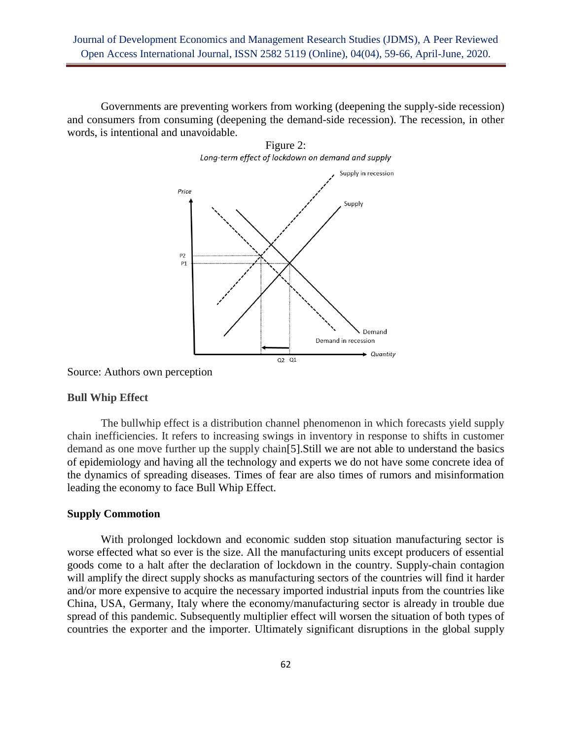Governments are preventing workers from working (deepening the supply-side recession) and consumers from consuming (deepening the demand-side recession). The recession, in other words, is intentional and unavoidable.





Source: Authors own perception

#### **Bull Whip Effect**

The bullwhip effect is a distribution channel phenomenon in which forecasts yield supply chain inefficiencies. It refers to increasing swings in inventory in response to shifts in customer demand as one move further up the supply chain[5].Still we are not able to understand the basics of epidemiology and having all the technology and experts we do not have some concrete idea of the dynamics of spreading diseases. Times of fear are also times of rumors and misinformation leading the economy to face Bull Whip Effect.

# **Supply Commotion**

With prolonged lockdown and economic sudden stop situation manufacturing sector is worse effected what so ever is the size. All the manufacturing units except producers of essential goods come to a halt after the declaration of lockdown in the country. Supply-chain contagion will amplify the direct supply shocks as manufacturing sectors of the countries will find it harder and/or more expensive to acquire the necessary imported industrial inputs from the countries like China, USA, Germany, Italy where the economy/manufacturing sector is already in trouble due spread of this pandemic. Subsequently multiplier effect will worsen the situation of both types of countries the exporter and the importer. Ultimately significant disruptions in the global supply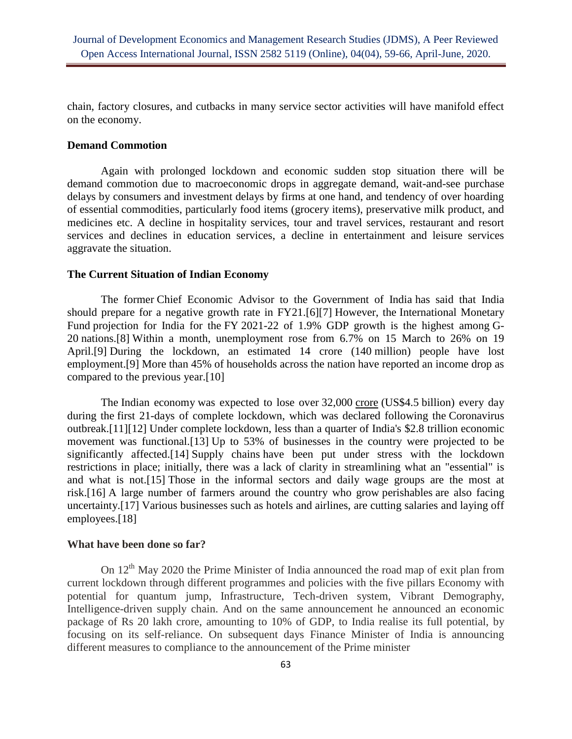chain, factory closures, and cutbacks in many service sector activities will have manifold effect on the economy.

#### **Demand Commotion**

Again with prolonged lockdown and economic sudden stop situation there will be demand commotion due to macroeconomic drops in aggregate demand, wait-and-see purchase delays by consumers and investment delays by firms at one hand, and tendency of over hoarding of essential commodities, particularly food items (grocery items), preservative milk product, and medicines etc. A decline in hospitality services, tour and travel services, restaurant and resort services and declines in education services, a decline in entertainment and leisure services aggravate the situation.

#### **The Current Situation of Indian Economy**

The former [Chief Economic Advisor to the Government of India](https://en.wikipedia.org/wiki/Chief_Economic_Advisor_to_the_Government_of_India) has said that India should prepare for a negative growth rate in FY21[.\[6\]\[7\]](https://en.wikipedia.org/wiki/Economic_impact_of_the_COVID-19_pandemic_in_India#cite_note-:38-3) However, the [International Monetary](https://en.wikipedia.org/wiki/International_Monetary_Fund)  [Fund](https://en.wikipedia.org/wiki/International_Monetary_Fund) projection for India for the [FY](https://en.wikipedia.org/wiki/Financial_Year) 2021-22 of 1.9% GDP growth is the highest among [G-](https://en.wikipedia.org/wiki/G20)[20](https://en.wikipedia.org/wiki/G20) nations[.\[8\]](https://en.wikipedia.org/wiki/Economic_impact_of_the_COVID-19_pandemic_in_India#cite_note-5) Within a month, unemployment rose from 6.7% on 15 March to 26% on 19 April[.\[9\]](https://en.wikipedia.org/wiki/Economic_impact_of_the_COVID-19_pandemic_in_India#cite_note-:34-6) During the lockdown, an estimated 14 crore (140 million) people have lost employment[.\[9\]](https://en.wikipedia.org/wiki/Economic_impact_of_the_COVID-19_pandemic_in_India#cite_note-:34-6) More than 45% of households across the nation have reported an income drop as compared to the previous year[.\[10\]](https://en.wikipedia.org/wiki/Economic_impact_of_the_COVID-19_pandemic_in_India#cite_note-:35-7)

The [Indian economy](https://en.wikipedia.org/wiki/Indian_economy) was expected to lose over 32,000 [crore](https://en.wikipedia.org/wiki/Crore) (US\$4.5 billion) every day during the [first 21-days of complete lockdown,](https://en.wikipedia.org/wiki/COVID-19_pandemic_lockdown_in_India) which was declared following the [Coronavirus](https://en.wikipedia.org/wiki/COVID-19_pandemic_in_India) [outbreak.](https://en.wikipedia.org/wiki/COVID-19_pandemic_in_India)[\[11\]\[12\]](https://en.wikipedia.org/wiki/Economic_impact_of_the_COVID-19_pandemic_in_India#cite_note-:23-8) Under complete lockdown, less than a quarter of India's \$2.8 trillion economic movement was functional[.\[13\]](https://en.wikipedia.org/wiki/Economic_impact_of_the_COVID-19_pandemic_in_India#cite_note-10) Up to 53% of businesses in the country were projected to be significantly affected[.\[14\]](https://en.wikipedia.org/wiki/Economic_impact_of_the_COVID-19_pandemic_in_India#cite_note-:4-11) [Supply chains](https://en.wikipedia.org/wiki/Supply_chain) have been put under stress with the lockdown restrictions in place; initially, there was a lack of clarity in streamlining what an "essential" is and what is not[.\[15\]](https://en.wikipedia.org/wiki/Economic_impact_of_the_COVID-19_pandemic_in_India#cite_note-Chaudhry-12) Those in the informal sectors and daily wage groups are the most at risk[.\[16\]](https://en.wikipedia.org/wiki/Economic_impact_of_the_COVID-19_pandemic_in_India#cite_note-13) A large number of farmers around the country who grow [perishables](https://en.wikipedia.org/wiki/Perishable_food) are also facing uncertainty[.\[17\]](https://en.wikipedia.org/wiki/Economic_impact_of_the_COVID-19_pandemic_in_India#cite_note-Chaudhry-12) Various businesses such as hotels and airlines, are cutting salaries and laying off employees[.\[18\]](https://en.wikipedia.org/wiki/Economic_impact_of_the_COVID-19_pandemic_in_India#cite_note-:2-14)

## **What have been done so far?**

On  $12<sup>th</sup>$  May 2020 the Prime Minister of India announced the road map of exit plan from current lockdown through different programmes and policies with the five pillars Economy with potential for quantum jump, Infrastructure, Tech-driven system, Vibrant Demography, Intelligence-driven supply chain. And on the same announcement he announced an economic package of Rs 20 lakh crore, amounting to 10% of GDP, to India realise its full potential, by focusing on its self-reliance. On subsequent days Finance Minister of India is announcing different measures to compliance to the announcement of the Prime minister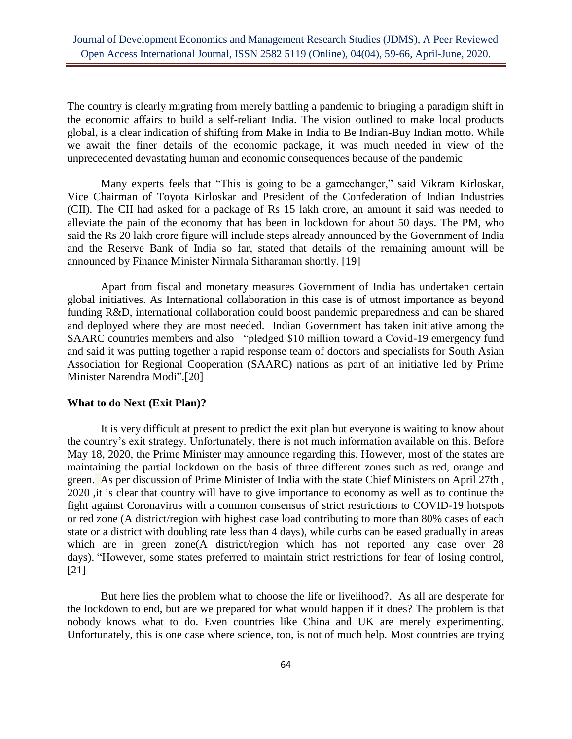The country is clearly migrating from merely battling a pandemic to bringing a paradigm shift in the economic affairs to build a self-reliant India. The vision outlined to make local products global, is a clear indication of shifting from Make in India to Be Indian-Buy Indian motto. While we await the finer details of the economic package, it was much needed in view of the unprecedented devastating human and economic consequences because of the pandemic

Many experts feels that "This is going to be a gamechanger," said Vikram Kirloskar, Vice Chairman of Toyota Kirloskar and President of the Confederation of Indian Industries (CII). The CII had asked for a package of Rs 15 lakh crore, an amount it said was needed to alleviate the pain of the economy that has been in lockdown for about 50 days. The PM, who said the Rs 20 lakh crore figure will include steps already announced by the Government of India and the Reserve Bank of India so far, stated that details of the remaining amount will be announced by Finance Minister Nirmala Sitharaman shortly. [19]

Apart from fiscal and monetary measures Government of India has undertaken certain global initiatives. As International collaboration in this case is of utmost importance as beyond funding R&D, international collaboration could boost pandemic preparedness and can be shared and deployed where they are most needed. Indian Government has taken initiative among the SAARC countries members and also "pledged \$10 million toward a Covid-19 emergency fund and said it was putting together a rapid response team of doctors and specialists for South Asian Association for Regional Cooperation (SAARC) nations as part of an initiative led by Prime Minister [Narendra Modi"](https://economictimes.indiatimes.com/topic/Narendra-Modi).[20]

#### **What to do Next (Exit Plan)?**

It is very difficult at present to predict the exit plan but everyone is waiting to know about the country's exit strategy. Unfortunately, there is not much information available on this. Before May 18, 2020, the Prime Minister may announce regarding this. However, most of the states are maintaining the partial lockdown on the basis of three different zones such as red, orange and green. As per discussion of Prime Minister of India with the state Chief Ministers on April 27th , 2020 ,it is clear that country will have to give importance to economy as well as to continue the fight against Coronavirus with a common consensus of strict restrictions to COVID-19 hotspots or red zone (A district/region with highest case load contributing to more than 80% cases of each state or a district with doubling rate less than 4 days), while curbs can be eased gradually in areas which are in green zone(A district/region which has not reported any case over 28 days). "However, some states preferred to maintain strict restrictions for fear of losing control, [21]

But here lies the problem what to choose the life or livelihood?. As all are desperate for the lockdown to end, but are we prepared for what would happen if it does? The problem is that nobody knows what to do. Even countries like China and UK are merely experimenting. Unfortunately, this is one case where science, too, is not of much help. Most countries are trying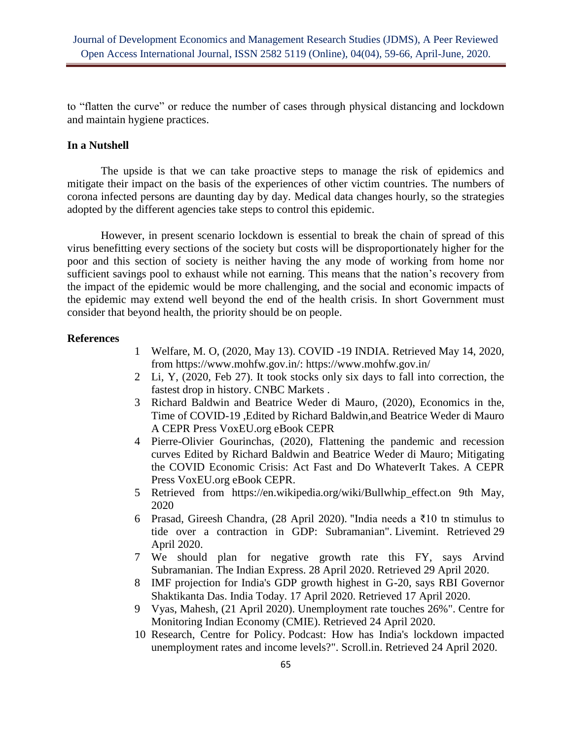to "flatten the curve" or reduce the number of cases through physical distancing and lockdown and maintain hygiene practices.

## **In a Nutshell**

The upside is that we can take proactive steps to manage the risk of epidemics and mitigate their impact on the basis of the experiences of other victim countries. The numbers of corona infected persons are daunting day by day. Medical data changes hourly, so the strategies adopted by the different agencies take steps to control this epidemic.

However, in present scenario lockdown is essential to break the chain of spread of this virus benefitting every sections of the society but costs will be disproportionately higher for the poor and this section of society is neither having the any mode of working from home nor sufficient savings pool to exhaust while not earning. This means that the nation's recovery from the impact of the epidemic would be more challenging, and the social and economic impacts of the epidemic may extend well beyond the end of the health crisis. In short Government must consider that beyond health, the priority should be on people.

## **References**

- 1 Welfare, M. O, (2020, May 13). COVID -19 INDIA. Retrieved May 14, 2020, from https://www.mohfw.gov.in/:<https://www.mohfw.gov.in/>
- 2 Li, Y, (2020, Feb 27). It took stocks only six days to fall into correction, the fastest drop in history. CNBC Markets .
- 3 Richard Baldwin and Beatrice Weder di Mauro, (2020), Economics in the, Time of COVID-19 ,Edited by Richard Baldwin,and Beatrice Weder di Mauro A CEPR Press VoxEU.org eBook CEPR
- 4 Pierre-Olivier Gourinchas, (2020), Flattening the pandemic and recession curves Edited by Richard Baldwin and Beatrice Weder di Mauro; Mitigating the COVID Economic Crisis: Act Fast and Do WhateverIt Takes. A CEPR Press VoxEU.org eBook CEPR.
- 5 Retrieved from [https://en.wikipedia.org/wiki/Bullwhip\\_effect.on](https://en.wikipedia.org/wiki/Bullwhip_effect.on) 9th May, 2020
- 6 Prasad, Gireesh Chandra, (28 April 2020). "India needs a ₹10 tn stimulus to tide over a contraction in GDP: Subramanian". Livemint. Retrieved 29 April 2020.
- 7 We should plan for negative growth rate this FY, says Arvind Subramanian. The Indian Express. 28 April 2020. Retrieved 29 April 2020.
- 8 IMF projection for India's GDP growth highest in G-20, says RBI Governor Shaktikanta Das. India Today. 17 April 2020. Retrieved 17 April 2020.
- 9 Vyas, Mahesh, (21 April 2020). [Unemployment rate touches 26%".](https://www.cmie.com/kommon/bin/sr.php?kall=warticle&dt=2020-04-21%2010:40:01&msec=873) Centre for Monitoring Indian Economy (CMIE). Retrieved 24 April 2020.
- 10 Research, Centre for Policy. Podcast: How has India's lockdown impacted unemployment rates and income levels?". Scroll.in. Retrieved 24 April 2020.